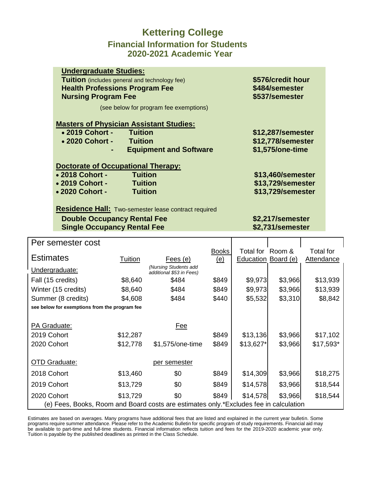### **Kettering College Financial Information for Students 2020-2021 Academic Year**

|                                                | <b>Undergraduate Studies:</b>                        |                   |  |  |  |  |  |  |
|------------------------------------------------|------------------------------------------------------|-------------------|--|--|--|--|--|--|
|                                                | <b>Tuition</b> (includes general and technology fee) | \$576/credit hour |  |  |  |  |  |  |
|                                                | <b>Health Professions Program Fee</b>                | \$484/semester    |  |  |  |  |  |  |
|                                                | <b>Nursing Program Fee</b>                           | \$537/semester    |  |  |  |  |  |  |
|                                                | (see below for program fee exemptions)               |                   |  |  |  |  |  |  |
| <b>Masters of Physician Assistant Studies:</b> |                                                      |                   |  |  |  |  |  |  |
|                                                | • 2019 Cohort - Tuition                              | \$12,287/semester |  |  |  |  |  |  |
|                                                | • 2020 Cohort -<br><b>Tuition</b>                    | \$12,778/semester |  |  |  |  |  |  |
|                                                | <b>Equipment and Software</b>                        | \$1,575/one-time  |  |  |  |  |  |  |
|                                                |                                                      |                   |  |  |  |  |  |  |
|                                                | <b>Doctorate of Occupational Therapy:</b>            |                   |  |  |  |  |  |  |
|                                                | • 2018 Cohort -<br><b>Tuition</b>                    | \$13,460/semester |  |  |  |  |  |  |
|                                                | • 2019 Cohort -<br><b>Tuition</b>                    | \$13,729/semester |  |  |  |  |  |  |
|                                                | • 2020 Cohort -<br><b>Tuition</b>                    | \$13,729/semester |  |  |  |  |  |  |
|                                                |                                                      |                   |  |  |  |  |  |  |

**Residence Hall:** Two-semester lease contract required

#### **Double Occupancy Rental Fee \$2,217/semester**<br> **Single Occupancy Rental Fee \$2,731/semester Single Occupancy Rental Fee**

| Per semester cost                                                                     |          |                                                   |              |                     |         |                   |  |
|---------------------------------------------------------------------------------------|----------|---------------------------------------------------|--------------|---------------------|---------|-------------------|--|
|                                                                                       |          |                                                   | <b>Books</b> | Total for Room &    |         | <b>Total for</b>  |  |
| <b>Estimates</b>                                                                      | Tuition  | Fees (e)                                          | <u>(e)</u>   | Education Board (e) |         | <b>Attendance</b> |  |
| Undergraduate:                                                                        |          | (Nursing Students add<br>additional \$53 in Fees) |              |                     |         |                   |  |
| Fall (15 credits)                                                                     | \$8,640  | \$484                                             | \$849        | \$9,973             | \$3,966 | \$13,939          |  |
| Winter (15 credits)                                                                   | \$8,640  | \$484                                             | \$849        | \$9,973             | \$3,966 | \$13,939          |  |
| Summer (8 credits)                                                                    | \$4,608  | \$484                                             | \$440        | \$5,532             | \$3,310 | \$8,842           |  |
| see below for exemptions from the program fee                                         |          |                                                   |              |                     |         |                   |  |
|                                                                                       |          |                                                   |              |                     |         |                   |  |
| PA Graduate:<br>Fee                                                                   |          |                                                   |              |                     |         |                   |  |
| 2019 Cohort                                                                           | \$12,287 |                                                   | \$849        | \$13,136            | \$3,966 | \$17,102          |  |
| 2020 Cohort                                                                           | \$12,778 | \$1,575/one-time                                  | \$849        | $$13,627$ *         | \$3,966 | $$17,593*$        |  |
|                                                                                       |          |                                                   |              |                     |         |                   |  |
| <b>OTD Graduate:</b>                                                                  |          | per semester                                      |              |                     |         |                   |  |
| 2018 Cohort                                                                           | \$13,460 | \$0                                               | \$849        | \$14,309            | \$3,966 | \$18,275          |  |
| 2019 Cohort                                                                           | \$13,729 | \$0                                               | \$849        | \$14,578            | \$3,966 | \$18,544          |  |
| 2020 Cohort                                                                           | \$13,729 | \$0                                               | \$849        | \$14,578            | \$3,966 | \$18,544          |  |
| (e) Fees, Books, Room and Board costs are estimates only.*Excludes fee in calculation |          |                                                   |              |                     |         |                   |  |

Estimates are based on averages. Many programs have additional fees that are listed and explained in the current year bulletin. Some programs require summer attendance. Please refer to the Academic Bulletin for specific program of study requirements. Financial aid may be available to part-time and full-time students. Financial information reflects tuition and fees for the 2019-2020 academic year only. Tuition is payable by the published deadlines as printed in the Class Schedule.